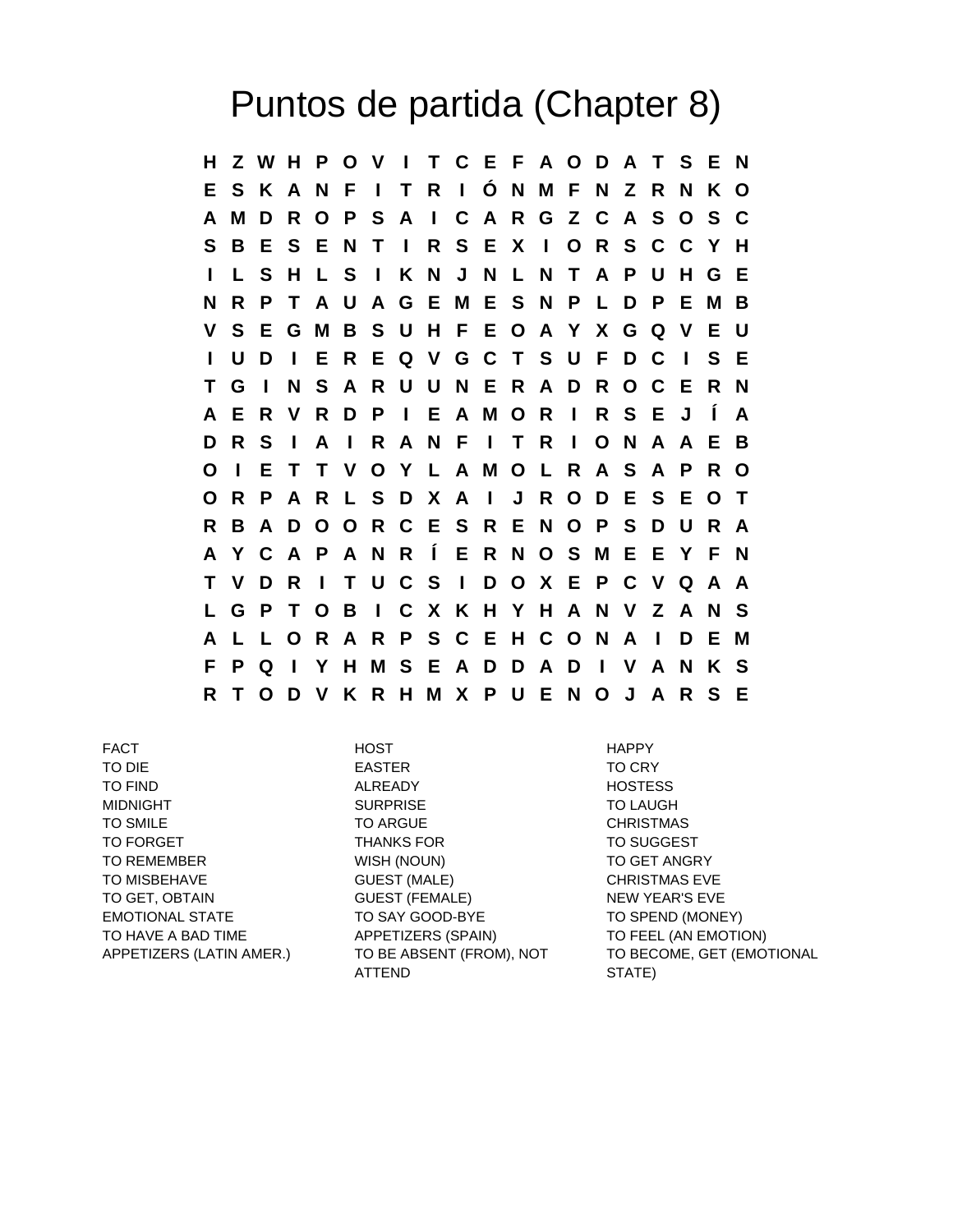## Puntos de partida (Chapter 8)

**H Z W H P O V I T C E F A O D A T S E N E S K A N F I T R I Ó N M F N Z R N K O A M D R O P S A I C A R G Z C A S O S C S B E S E N T I R S E X I O R S C C Y H I L S H L S I K N J N L N T A P U H G E N R P T A U A G E M E S N P L D P E M B V S E G M B S U H F E O A Y X G Q V E U I U D I E R E Q V G C T S U F D C I S E T G I N S A R U U N E R A D R O C E R N A E R V R D P I E A M O R I R S E J Í A D R S I A I R A N F I T R I O N A A E B O I E T T V O Y L A M O L R A S A P R O O R P A R L S D X A I J R O D E S E O T R B A D O O R C E S R E N O P S D U R A A Y C A P A N R Í E R N O S M E E Y F N T V D R I T U C S I D O X E P C V Q A A L G P T O B I C X K H Y H A N V Z A N S A L L O R A R P S C E H C O N A I D E M F P Q I Y H M S E A D D A D I V A N K S R T O D V K R H M X P U E N O J A R S E**

FACT HOST HAPPY TO DIE EASTER TO CRY TO FIND **ALREADY** ALREADY **HOSTESS** MIDNIGHT SURPRISE SURPRISE TO LAUGH TO SMILE TO ARGUE TO ARGUE TO SMILE TO FORGET THANKS FOR THE TO SUGGEST TO REMEMBER WISH (NOUN) TO GET ANGRY TO MISBEHAVE **GUEST (MALE)** CHRISTMAS EVE TO GET, OBTAIN GUEST (FEMALE) NEW YEAR'S EVE EMOTIONAL STATE TO SAY GOOD-BYE TO SPEND (MONEY) TO HAVE A BAD TIME APPETIZERS (SPAIN) TO FEEL (AN EMOTION) APPETIZERS (LATIN AMER.) TO BE ABSENT (FROM), NOT ATTEND

TO BECOME, GET (EMOTIONAL STATE)